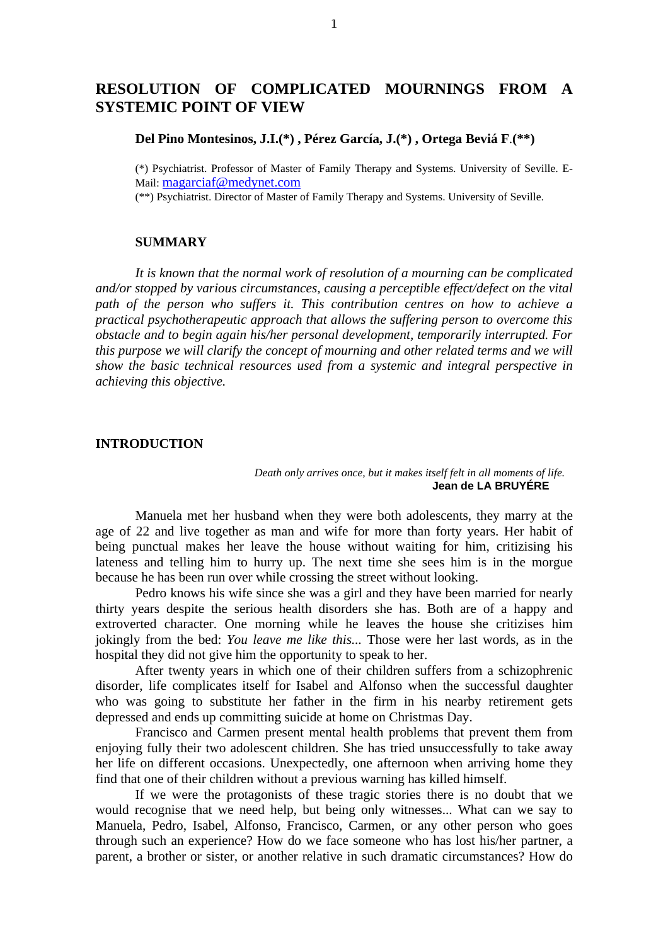# **RESOLUTION OF COMPLICATED MOURNINGS FROM A SYSTEMIC POINT OF VIEW**

**Del Pino Montesinos, J.I.(\*) , Pérez García, J.(\*) , Ortega Beviá F**.**(\*\*)**

(\*) Psychiatrist. Professor of Master of Family Therapy and Systems. University of Seville. E-Mail: magarciaf@medynet.com

(\*\*) Psychiatrist. Director of Master of Family Therapy and Systems. University of Seville.

# **SUMMARY**

*It is known that the normal work of resolution of a mourning can be complicated and/or stopped by various circumstances, causing a perceptible effect/defect on the vital path of the person who suffers it. This contribution centres on how to achieve a practical psychotherapeutic approach that allows the suffering person to overcome this obstacle and to begin again his/her personal development, temporarily interrupted. For this purpose we will clarify the concept of mourning and other related terms and we will show the basic technical resources used from a systemic and integral perspective in achieving this objective.*

## **INTRODUCTION**

*Death only arrives once, but it makes itself felt in all moments of life.* **Jean de LA BRUYÉRE**

Manuela met her husband when they were both adolescents, they marry at the age of 22 and live together as man and wife for more than forty years. Her habit of being punctual makes her leave the house without waiting for him, critizising his lateness and telling him to hurry up. The next time she sees him is in the morgue because he has been run over while crossing the street without looking.

Pedro knows his wife since she was a girl and they have been married for nearly thirty years despite the serious health disorders she has. Both are of a happy and extroverted character. One morning while he leaves the house she critizises him jokingly from the bed: *You leave me like this...* Those were her last words, as in the hospital they did not give him the opportunity to speak to her.

After twenty years in which one of their children suffers from a schizophrenic disorder, life complicates itself for Isabel and Alfonso when the successful daughter who was going to substitute her father in the firm in his nearby retirement gets depressed and ends up committing suicide at home on Christmas Day.

Francisco and Carmen present mental health problems that prevent them from enjoying fully their two adolescent children. She has tried unsuccessfully to take away her life on different occasions. Unexpectedly, one afternoon when arriving home they find that one of their children without a previous warning has killed himself.

If we were the protagonists of these tragic stories there is no doubt that we would recognise that we need help, but being only witnesses... What can we say to Manuela, Pedro, Isabel, Alfonso, Francisco, Carmen, or any other person who goes through such an experience? How do we face someone who has lost his/her partner, a parent, a brother or sister, or another relative in such dramatic circumstances? How do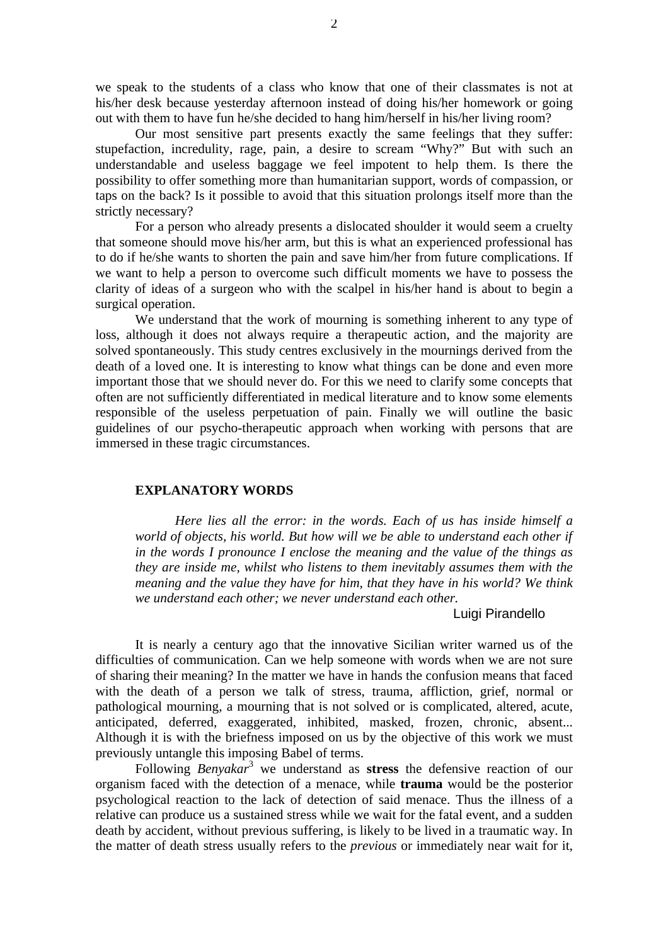we speak to the students of a class who know that one of their classmates is not at his/her desk because yesterday afternoon instead of doing his/her homework or going out with them to have fun he/she decided to hang him/herself in his/her living room?

Our most sensitive part presents exactly the same feelings that they suffer: stupefaction, incredulity, rage, pain, a desire to scream "Why?" But with such an understandable and useless baggage we feel impotent to help them. Is there the possibility to offer something more than humanitarian support, words of compassion, or taps on the back? Is it possible to avoid that this situation prolongs itself more than the strictly necessary?

For a person who already presents a dislocated shoulder it would seem a cruelty that someone should move his/her arm, but this is what an experienced professional has to do if he/she wants to shorten the pain and save him/her from future complications. If we want to help a person to overcome such difficult moments we have to possess the clarity of ideas of a surgeon who with the scalpel in his/her hand is about to begin a surgical operation.

We understand that the work of mourning is something inherent to any type of loss, although it does not always require a therapeutic action, and the majority are solved spontaneously. This study centres exclusively in the mournings derived from the death of a loved one. It is interesting to know what things can be done and even more important those that we should never do. For this we need to clarify some concepts that often are not sufficiently differentiated in medical literature and to know some elements responsible of the useless perpetuation of pain. Finally we will outline the basic guidelines of our psycho-therapeutic approach when working with persons that are immersed in these tragic circumstances.

## **EXPLANATORY WORDS**

*Here lies all the error: in the words. Each of us has inside himself a world of objects, his world. But how will we be able to understand each other if in the words I pronounce I enclose the meaning and the value of the things as they are inside me, whilst who listens to them inevitably assumes them with the meaning and the value they have for him, that they have in his world? We think we understand each other; we never understand each other.*

#### Luigi Pirandello

It is nearly a century ago that the innovative Sicilian writer warned us of the difficulties of communication. Can we help someone with words when we are not sure of sharing their meaning? In the matter we have in hands the confusion means that faced with the death of a person we talk of stress, trauma, affliction, grief, normal or pathological mourning, a mourning that is not solved or is complicated, altered, acute, anticipated, deferred, exaggerated, inhibited, masked, frozen, chronic, absent... Although it is with the briefness imposed on us by the objective of this work we must previously untangle this imposing Babel of terms.

Following *Benyakar*<sup>3</sup> we understand as **stress** the defensive reaction of our organism faced with the detection of a menace, while **trauma** would be the posterior psychological reaction to the lack of detection of said menace. Thus the illness of a relative can produce us a sustained stress while we wait for the fatal event, and a sudden death by accident, without previous suffering, is likely to be lived in a traumatic way. In the matter of death stress usually refers to the *previous* or immediately near wait for it,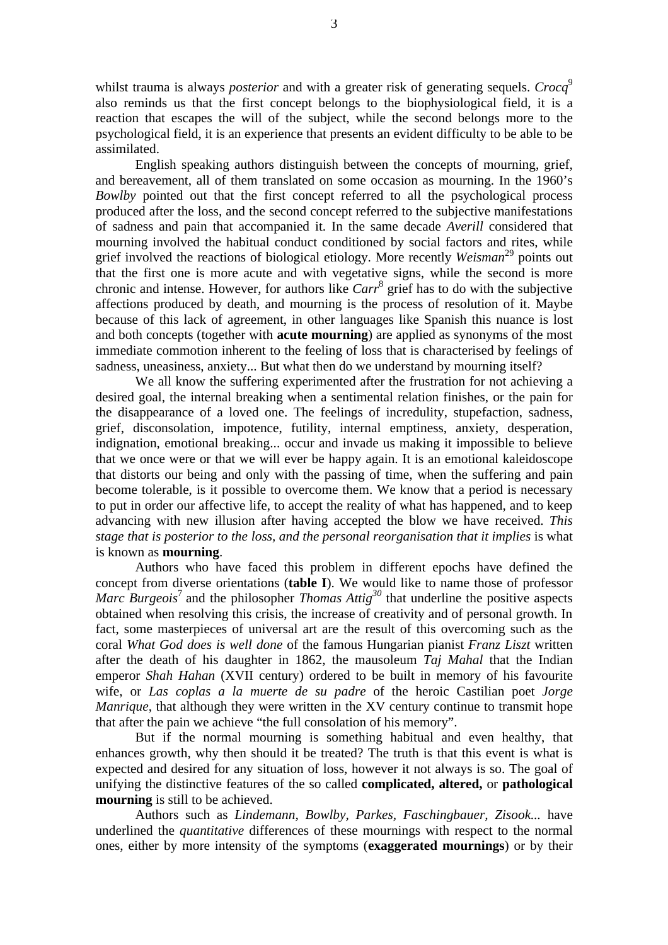whilst trauma is always *posterior* and with a greater risk of generating sequels. *Crocq*<sup>9</sup> also reminds us that the first concept belongs to the biophysiological field, it is a reaction that escapes the will of the subject, while the second belongs more to the psychological field, it is an experience that presents an evident difficulty to be able to be assimilated.

English speaking authors distinguish between the concepts of mourning, grief, and bereavement, all of them translated on some occasion as mourning. In the 1960's *Bowlby* pointed out that the first concept referred to all the psychological process produced after the loss, and the second concept referred to the subjective manifestations of sadness and pain that accompanied it. In the same decade *Averill* considered that mourning involved the habitual conduct conditioned by social factors and rites, while grief involved the reactions of biological etiology. More recently *Weisman*<sup>29</sup> points out that the first one is more acute and with vegetative signs, while the second is more chronic and intense. However, for authors like *Carr*<sup>8</sup> grief has to do with the subjective affections produced by death, and mourning is the process of resolution of it. Maybe because of this lack of agreement, in other languages like Spanish this nuance is lost and both concepts (together with **acute mourning**) are applied as synonyms of the most immediate commotion inherent to the feeling of loss that is characterised by feelings of sadness, uneasiness, anxiety... But what then do we understand by mourning itself?

We all know the suffering experimented after the frustration for not achieving a desired goal, the internal breaking when a sentimental relation finishes, or the pain for the disappearance of a loved one. The feelings of incredulity, stupefaction, sadness, grief, disconsolation, impotence, futility, internal emptiness, anxiety, desperation, indignation, emotional breaking... occur and invade us making it impossible to believe that we once were or that we will ever be happy again. It is an emotional kaleidoscope that distorts our being and only with the passing of time, when the suffering and pain become tolerable, is it possible to overcome them. We know that a period is necessary to put in order our affective life, to accept the reality of what has happened, and to keep advancing with new illusion after having accepted the blow we have received. *This stage that is posterior to the loss, and the personal reorganisation that it implies* is what is known as **mourning**.

Authors who have faced this problem in different epochs have defined the concept from diverse orientations (**table I**). We would like to name those of professor *Marc Burgeois*<sup>7</sup> and the philosopher *Thomas Attig*<sup>30</sup> that underline the positive aspects obtained when resolving this crisis, the increase of creativity and of personal growth. In fact, some masterpieces of universal art are the result of this overcoming such as the coral *What God does is well done* of the famous Hungarian pianist *Franz Liszt* written after the death of his daughter in 1862, the mausoleum *Taj Mahal* that the Indian emperor *Shah Hahan* (XVII century) ordered to be built in memory of his favourite wife, or *Las coplas a la muerte de su padre* of the heroic Castilian poet *Jorge Manrique*, that although they were written in the XV century continue to transmit hope that after the pain we achieve "the full consolation of his memory".

But if the normal mourning is something habitual and even healthy, that enhances growth, why then should it be treated? The truth is that this event is what is expected and desired for any situation of loss, however it not always is so. The goal of unifying the distinctive features of the so called **complicated, altered,** or **pathological mourning** is still to be achieved.

Authors such as *Lindemann, Bowlby, Parkes, Faschingbauer, Zisook...* have underlined the *quantitative* differences of these mournings with respect to the normal ones, either by more intensity of the symptoms (**exaggerated mournings**) or by their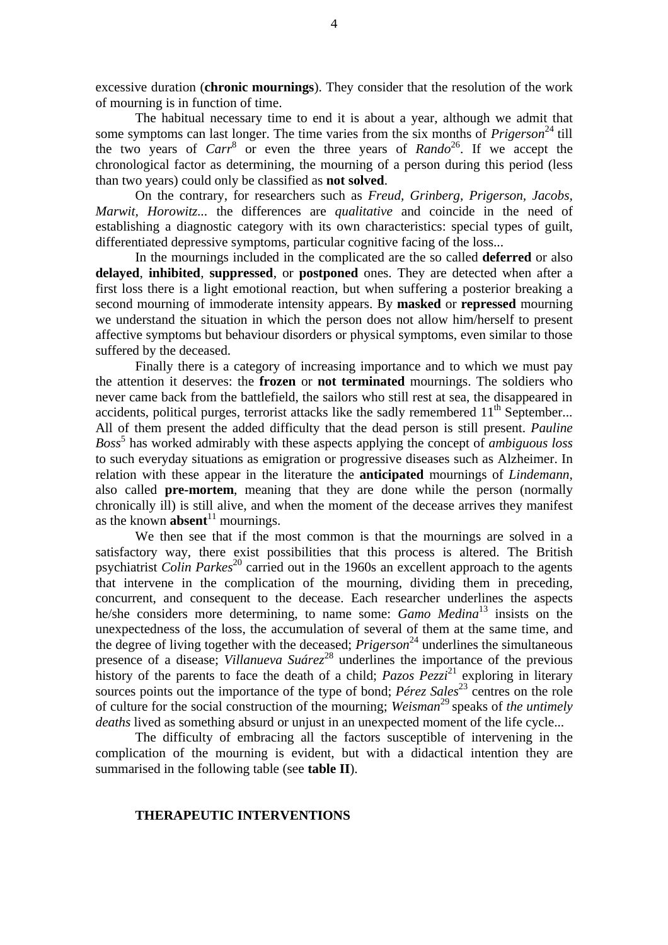excessive duration (**chronic mournings**). They consider that the resolution of the work of mourning is in function of time.

The habitual necessary time to end it is about a year, although we admit that some symptoms can last longer. The time varies from the six months of  $Prigerson<sup>24</sup>$  till the two years of *Carr*<sup>8</sup> or even the three years of *Rando*<sup>26</sup>. If we accept the chronological factor as determining, the mourning of a person during this period (less than two years) could only be classified as **not solved**.

On the contrary, for researchers such as *Freud, Grinberg, Prigerson, Jacobs, Marwit, Horowitz...* the differences are *qualitative* and coincide in the need of establishing a diagnostic category with its own characteristics: special types of guilt, differentiated depressive symptoms, particular cognitive facing of the loss...

In the mournings included in the complicated are the so called **deferred** or also **delayed**, **inhibited**, **suppressed**, or **postponed** ones. They are detected when after a first loss there is a light emotional reaction, but when suffering a posterior breaking a second mourning of immoderate intensity appears. By **masked** or **repressed** mourning we understand the situation in which the person does not allow him/herself to present affective symptoms but behaviour disorders or physical symptoms, even similar to those suffered by the deceased.

Finally there is a category of increasing importance and to which we must pay the attention it deserves: the **frozen** or **not terminated** mournings. The soldiers who never came back from the battlefield, the sailors who still rest at sea, the disappeared in accidents, political purges, terrorist attacks like the sadly remembered  $11<sup>th</sup>$  September... All of them present the added difficulty that the dead person is still present. *Pauline Boss*<sup>5</sup> has worked admirably with these aspects applying the concept of *ambiguous loss* to such everyday situations as emigration or progressive diseases such as Alzheimer. In relation with these appear in the literature the **anticipated** mournings of *Lindemann*, also called **pre-mortem**, meaning that they are done while the person (normally chronically ill) is still alive, and when the moment of the decease arrives they manifest as the known **absent**<sup>11</sup> mournings.

We then see that if the most common is that the mournings are solved in a satisfactory way, there exist possibilities that this process is altered. The British psychiatrist *Colin Parkes*<sup>20</sup> carried out in the 1960s an excellent approach to the agents that intervene in the complication of the mourning, dividing them in preceding, concurrent, and consequent to the decease. Each researcher underlines the aspects he/she considers more determining, to name some: *Gamo Medina*<sup>13</sup> insists on the unexpectedness of the loss, the accumulation of several of them at the same time, and the degree of living together with the deceased; *Prigerson*<sup>24</sup> underlines the simultaneous presence of a disease; *Villanueva Suárez*<sup>28</sup> underlines the importance of the previous history of the parents to face the death of a child; *Pazos Pezzi*<sup>21</sup> exploring in literary sources points out the importance of the type of bond; *Pérez* Sales<sup>23</sup> centres on the role of culture for the social construction of the mourning; *Weisman*<sup>29</sup> speaks of *the untimely deaths* lived as something absurd or unjust in an unexpected moment of the life cycle...

The difficulty of embracing all the factors susceptible of intervening in the complication of the mourning is evident, but with a didactical intention they are summarised in the following table (see **table II**).

## **THERAPEUTIC INTERVENTIONS**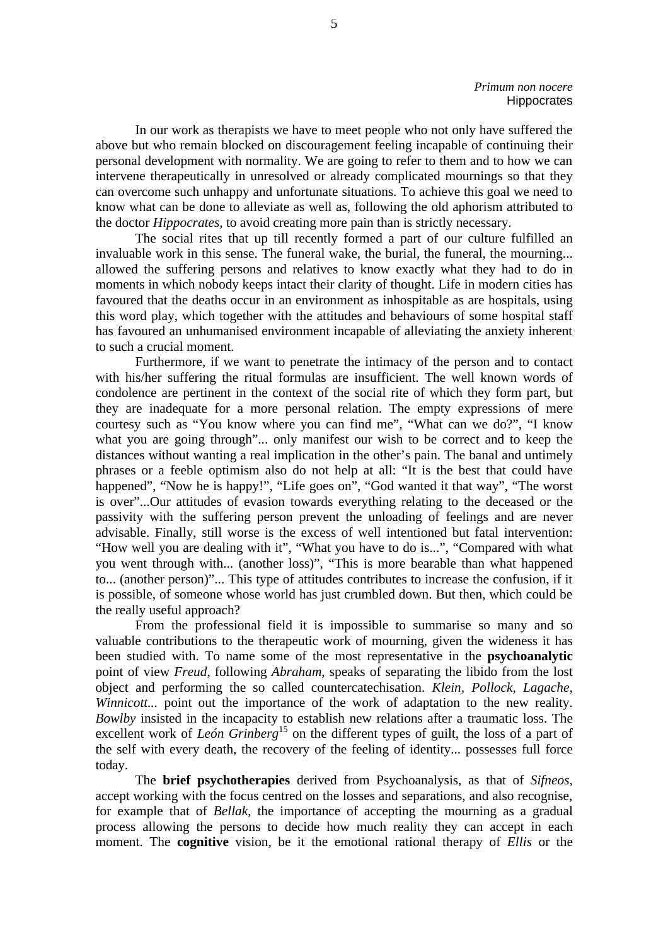In our work as therapists we have to meet people who not only have suffered the above but who remain blocked on discouragement feeling incapable of continuing their personal development with normality. We are going to refer to them and to how we can intervene therapeutically in unresolved or already complicated mournings so that they can overcome such unhappy and unfortunate situations. To achieve this goal we need to know what can be done to alleviate as well as, following the old aphorism attributed to the doctor *Hippocrates*, to avoid creating more pain than is strictly necessary.

The social rites that up till recently formed a part of our culture fulfilled an invaluable work in this sense. The funeral wake, the burial, the funeral, the mourning... allowed the suffering persons and relatives to know exactly what they had to do in moments in which nobody keeps intact their clarity of thought. Life in modern cities has favoured that the deaths occur in an environment as inhospitable as are hospitals, using this word play, which together with the attitudes and behaviours of some hospital staff has favoured an unhumanised environment incapable of alleviating the anxiety inherent to such a crucial moment.

Furthermore, if we want to penetrate the intimacy of the person and to contact with his/her suffering the ritual formulas are insufficient. The well known words of condolence are pertinent in the context of the social rite of which they form part, but they are inadequate for a more personal relation. The empty expressions of mere courtesy such as "You know where you can find me", "What can we do?", "I know what you are going through"... only manifest our wish to be correct and to keep the distances without wanting a real implication in the other's pain. The banal and untimely phrases or a feeble optimism also do not help at all: "It is the best that could have happened", "Now he is happy!", "Life goes on", "God wanted it that way", "The worst is over"...Our attitudes of evasion towards everything relating to the deceased or the passivity with the suffering person prevent the unloading of feelings and are never advisable. Finally, still worse is the excess of well intentioned but fatal intervention: "How well you are dealing with it", "What you have to do is...", "Compared with what you went through with... (another loss)", "This is more bearable than what happened to... (another person)"... This type of attitudes contributes to increase the confusion, if it is possible, of someone whose world has just crumbled down. But then, which could be the really useful approach?

From the professional field it is impossible to summarise so many and so valuable contributions to the therapeutic work of mourning, given the wideness it has been studied with. To name some of the most representative in the **psychoanalytic** point of view *Freud*, following *Abraham*, speaks of separating the libido from the lost object and performing the so called countercatechisation. *Klein, Pollock, Lagache, Winnicott...* point out the importance of the work of adaptation to the new reality. *Bowlby* insisted in the incapacity to establish new relations after a traumatic loss. The excellent work of *León Grinberg*<sup>15</sup> on the different types of guilt, the loss of a part of the self with every death, the recovery of the feeling of identity... possesses full force today.

The **brief psychotherapies** derived from Psychoanalysis, as that of *Sifneos*, accept working with the focus centred on the losses and separations, and also recognise, for example that of *Bellak*, the importance of accepting the mourning as a gradual process allowing the persons to decide how much reality they can accept in each moment. The **cognitive** vision, be it the emotional rational therapy of *Ellis* or the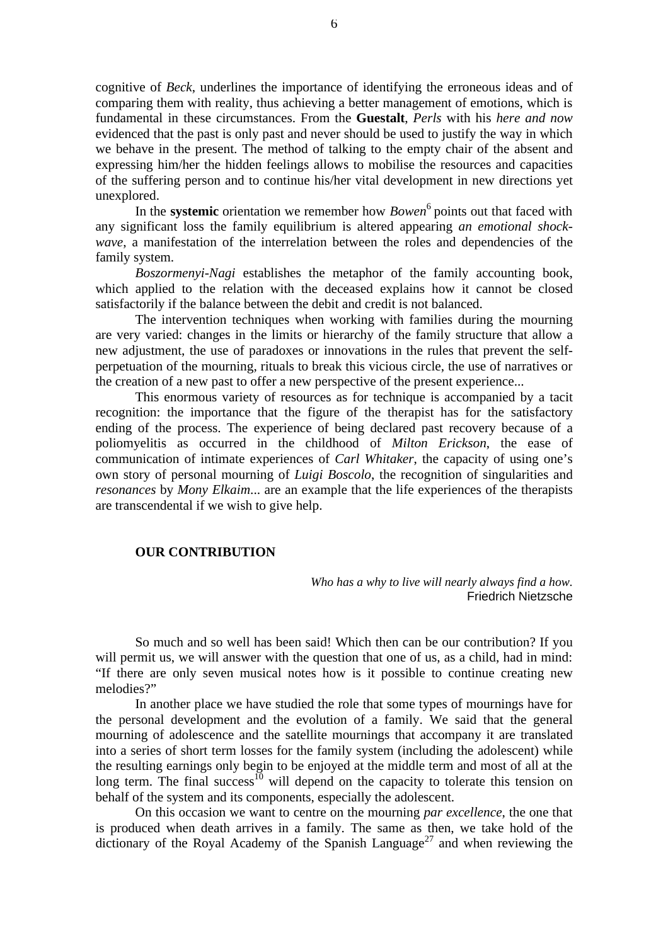cognitive of *Beck*, underlines the importance of identifying the erroneous ideas and of comparing them with reality, thus achieving a better management of emotions, which is fundamental in these circumstances. From the **Guestalt**, *Perls* with his *here and now* evidenced that the past is only past and never should be used to justify the way in which we behave in the present. The method of talking to the empty chair of the absent and expressing him/her the hidden feelings allows to mobilise the resources and capacities of the suffering person and to continue his/her vital development in new directions yet unexplored.

In the **systemic** orientation we remember how *Bowen*<sup>6</sup> points out that faced with any significant loss the family equilibrium is altered appearing *an emotional shockwave*, a manifestation of the interrelation between the roles and dependencies of the family system.

*Boszormenyi-Nagi* establishes the metaphor of the family accounting book, which applied to the relation with the deceased explains how it cannot be closed satisfactorily if the balance between the debit and credit is not balanced.

The intervention techniques when working with families during the mourning are very varied: changes in the limits or hierarchy of the family structure that allow a new adjustment, the use of paradoxes or innovations in the rules that prevent the selfperpetuation of the mourning, rituals to break this vicious circle, the use of narratives or the creation of a new past to offer a new perspective of the present experience...

This enormous variety of resources as for technique is accompanied by a tacit recognition: the importance that the figure of the therapist has for the satisfactory ending of the process. The experience of being declared past recovery because of a poliomyelitis as occurred in the childhood of *Milton Erickson*, the ease of communication of intimate experiences of *Carl Whitaker*, the capacity of using one's own story of personal mourning of *Luigi Boscolo*, the recognition of singularities and *resonances* by *Mony Elkaim*... are an example that the life experiences of the therapists are transcendental if we wish to give help.

## **OUR CONTRIBUTION**

*Who has a why to live will nearly always find a how.* Friedrich Nietzsche

So much and so well has been said! Which then can be our contribution? If you will permit us, we will answer with the question that one of us, as a child, had in mind: "If there are only seven musical notes how is it possible to continue creating new melodies?"

In another place we have studied the role that some types of mournings have for the personal development and the evolution of a family. We said that the general mourning of adolescence and the satellite mournings that accompany it are translated into a series of short term losses for the family system (including the adolescent) while the resulting earnings only begin to be enjoyed at the middle term and most of all at the long term. The final success<sup>10</sup> will depend on the capacity to tolerate this tension on behalf of the system and its components, especially the adolescent.

On this occasion we want to centre on the mourning *par excellence*, the one that is produced when death arrives in a family. The same as then, we take hold of the dictionary of the Royal Academy of the Spanish Language<sup>27</sup> and when reviewing the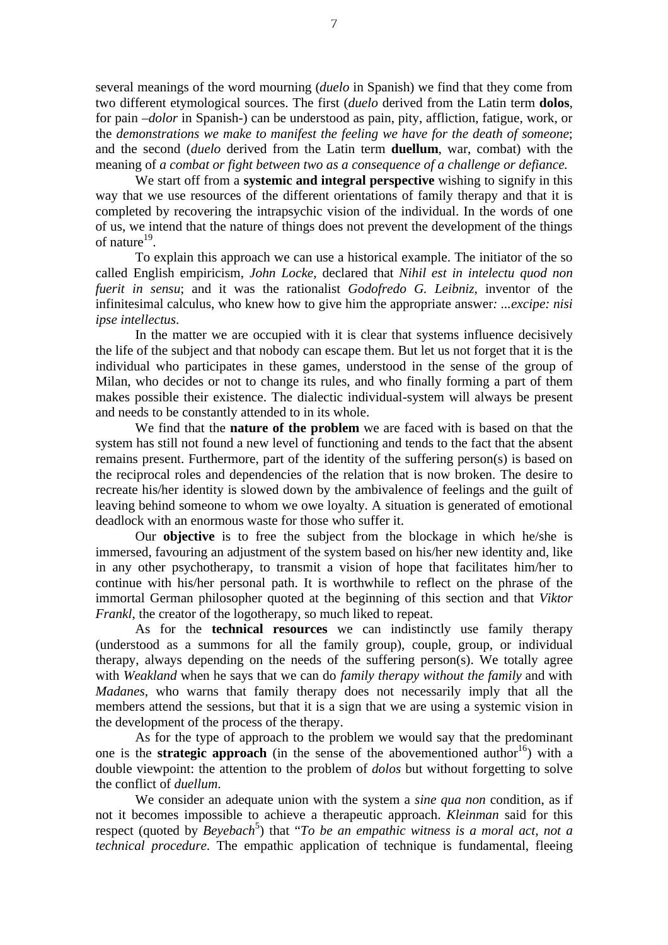several meanings of the word mourning (*duelo* in Spanish) we find that they come from two different etymological sources. The first (*duelo* derived from the Latin term **dolos**, for pain –*dolor* in Spanish-) can be understood as pain, pity, affliction, fatigue, work, or the *demonstrations we make to manifest the feeling we have for the death of someone*; and the second (*duelo* derived from the Latin term **duellum**, war, combat) with the meaning of *a combat or fight between two as a consequence of a challenge or defiance.*

We start off from a **systemic and integral perspective** wishing to signify in this way that we use resources of the different orientations of family therapy and that it is completed by recovering the intrapsychic vision of the individual. In the words of one of us, we intend that the nature of things does not prevent the development of the things of nature<sup>19</sup>.

To explain this approach we can use a historical example. The initiator of the so called English empiricism, *John Locke*, declared that *Nihil est in intelectu quod non fuerit in sensu*; and it was the rationalist *Godofredo G. Leibniz*, inventor of the infinitesimal calculus, who knew how to give him the appropriate answer*: ...excipe: nisi ipse intellectus*.

In the matter we are occupied with it is clear that systems influence decisively the life of the subject and that nobody can escape them. But let us not forget that it is the individual who participates in these games, understood in the sense of the group of Milan, who decides or not to change its rules, and who finally forming a part of them makes possible their existence. The dialectic individual-system will always be present and needs to be constantly attended to in its whole.

We find that the **nature of the problem** we are faced with is based on that the system has still not found a new level of functioning and tends to the fact that the absent remains present. Furthermore, part of the identity of the suffering person(s) is based on the reciprocal roles and dependencies of the relation that is now broken. The desire to recreate his/her identity is slowed down by the ambivalence of feelings and the guilt of leaving behind someone to whom we owe loyalty. A situation is generated of emotional deadlock with an enormous waste for those who suffer it.

Our **objective** is to free the subject from the blockage in which he/she is immersed, favouring an adjustment of the system based on his/her new identity and, like in any other psychotherapy, to transmit a vision of hope that facilitates him/her to continue with his/her personal path. It is worthwhile to reflect on the phrase of the immortal German philosopher quoted at the beginning of this section and that *Viktor Frankl*, the creator of the logotherapy, so much liked to repeat.

As for the **technical resources** we can indistinctly use family therapy (understood as a summons for all the family group), couple, group, or individual therapy, always depending on the needs of the suffering person(s). We totally agree with *Weakland* when he says that we can do *family therapy without the family* and with *Madanes*, who warns that family therapy does not necessarily imply that all the members attend the sessions, but that it is a sign that we are using a systemic vision in the development of the process of the therapy.

As for the type of approach to the problem we would say that the predominant one is the **strategic approach** (in the sense of the abovementioned author<sup>16</sup>) with a double viewpoint: the attention to the problem of *dolos* but without forgetting to solve the conflict of *duellum*.

We consider an adequate union with the system a *sine qua non* condition, as if not it becomes impossible to achieve a therapeutic approach. *Kleinman* said for this respect (quoted by *Beyebach*<sup>5</sup>) that "*To be an empathic witness is a moral act, not a technical procedure*. The empathic application of technique is fundamental, fleeing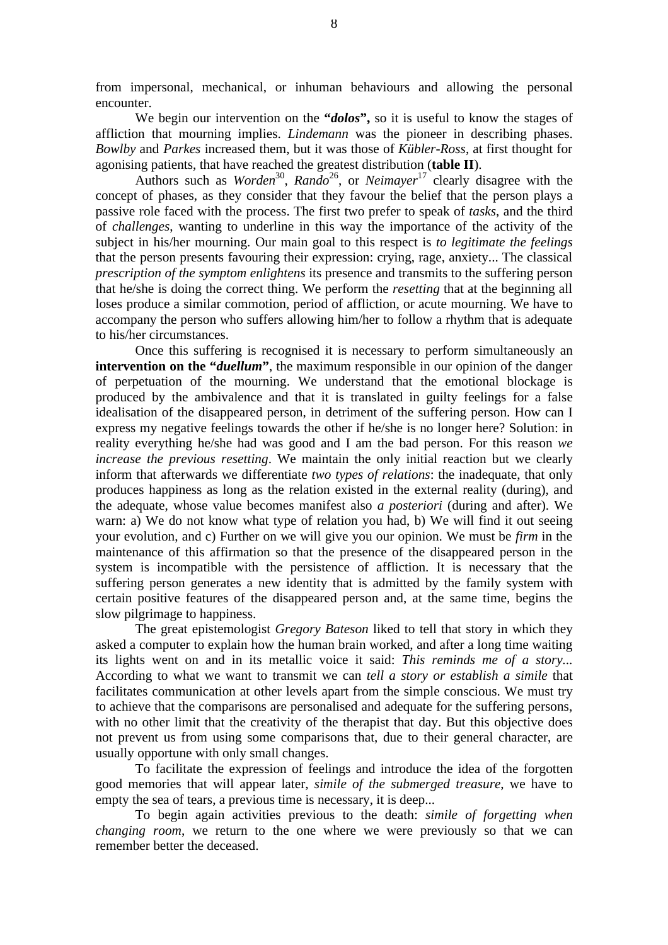from impersonal, mechanical, or inhuman behaviours and allowing the personal encounter.

We begin our intervention on the **"***dolos***",** so it is useful to know the stages of affliction that mourning implies. *Lindemann* was the pioneer in describing phases. *Bowlby* and *Parkes* increased them, but it was those of *Kübler-Ross*, at first thought for agonising patients, that have reached the greatest distribution (**table II**).

Authors such as *Worden*<sup>30</sup>, *Rando*<sup>26</sup>, or *Neimayer*<sup>17</sup> clearly disagree with the concept of phases, as they consider that they favour the belief that the person plays a passive role faced with the process. The first two prefer to speak of *tasks*, and the third of *challenges*, wanting to underline in this way the importance of the activity of the subject in his/her mourning. Our main goal to this respect is *to legitimate the feelings* that the person presents favouring their expression: crying, rage, anxiety... The classical *prescription of the symptom enlightens* its presence and transmits to the suffering person that he/she is doing the correct thing. We perform the *resetting* that at the beginning all loses produce a similar commotion, period of affliction, or acute mourning. We have to accompany the person who suffers allowing him/her to follow a rhythm that is adequate to his/her circumstances.

Once this suffering is recognised it is necessary to perform simultaneously an **intervention on the "***duellum*", the maximum responsible in our opinion of the danger of perpetuation of the mourning. We understand that the emotional blockage is produced by the ambivalence and that it is translated in guilty feelings for a false idealisation of the disappeared person, in detriment of the suffering person. How can I express my negative feelings towards the other if he/she is no longer here? Solution: in reality everything he/she had was good and I am the bad person. For this reason *we increase the previous resetting*. We maintain the only initial reaction but we clearly inform that afterwards we differentiate *two types of relations*: the inadequate, that only produces happiness as long as the relation existed in the external reality (during), and the adequate, whose value becomes manifest also *a posteriori* (during and after). We warn: a) We do not know what type of relation you had, b) We will find it out seeing your evolution, and c) Further on we will give you our opinion. We must be *firm* in the maintenance of this affirmation so that the presence of the disappeared person in the system is incompatible with the persistence of affliction. It is necessary that the suffering person generates a new identity that is admitted by the family system with certain positive features of the disappeared person and, at the same time, begins the slow pilgrimage to happiness.

The great epistemologist *Gregory Bateson* liked to tell that story in which they asked a computer to explain how the human brain worked, and after a long time waiting its lights went on and in its metallic voice it said: *This reminds me of a story...* According to what we want to transmit we can *tell a story or establish a simile* that facilitates communication at other levels apart from the simple conscious. We must try to achieve that the comparisons are personalised and adequate for the suffering persons, with no other limit that the creativity of the therapist that day. But this objective does not prevent us from using some comparisons that, due to their general character, are usually opportune with only small changes.

To facilitate the expression of feelings and introduce the idea of the forgotten good memories that will appear later, *simile of the submerged treasure*, we have to empty the sea of tears, a previous time is necessary, it is deep...

To begin again activities previous to the death: *simile of forgetting when changing room*, we return to the one where we were previously so that we can remember better the deceased.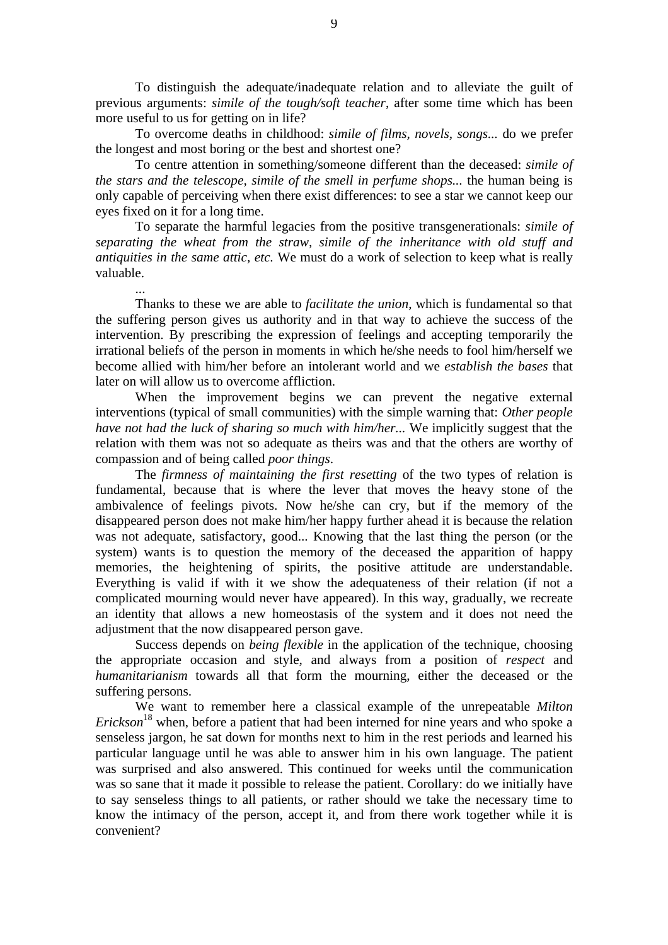To distinguish the adequate/inadequate relation and to alleviate the guilt of previous arguments: *simile of the tough/soft teacher*, after some time which has been more useful to us for getting on in life?

To overcome deaths in childhood: *simile of films, novels, songs...* do we prefer the longest and most boring or the best and shortest one?

To centre attention in something/someone different than the deceased: *simile of the stars and the telescope, simile of the smell in perfume shops...* the human being is only capable of perceiving when there exist differences: to see a star we cannot keep our eyes fixed on it for a long time.

To separate the harmful legacies from the positive transgenerationals: *simile of separating the wheat from the straw, simile of the inheritance with old stuff and antiquities in the same attic, etc.* We must do a work of selection to keep what is really valuable.

...

Thanks to these we are able to *facilitate the union*, which is fundamental so that the suffering person gives us authority and in that way to achieve the success of the intervention. By prescribing the expression of feelings and accepting temporarily the irrational beliefs of the person in moments in which he/she needs to fool him/herself we become allied with him/her before an intolerant world and we *establish the bases* that later on will allow us to overcome affliction.

When the improvement begins we can prevent the negative external interventions (typical of small communities) with the simple warning that: *Other people have not had the luck of sharing so much with him/her...* We implicitly suggest that the relation with them was not so adequate as theirs was and that the others are worthy of compassion and of being called *poor things*.

The *firmness of maintaining the first resetting* of the two types of relation is fundamental, because that is where the lever that moves the heavy stone of the ambivalence of feelings pivots. Now he/she can cry, but if the memory of the disappeared person does not make him/her happy further ahead it is because the relation was not adequate, satisfactory, good... Knowing that the last thing the person (or the system) wants is to question the memory of the deceased the apparition of happy memories, the heightening of spirits, the positive attitude are understandable. Everything is valid if with it we show the adequateness of their relation (if not a complicated mourning would never have appeared). In this way, gradually, we recreate an identity that allows a new homeostasis of the system and it does not need the adjustment that the now disappeared person gave.

Success depends on *being flexible* in the application of the technique, choosing the appropriate occasion and style, and always from a position of *respect* and *humanitarianism* towards all that form the mourning, either the deceased or the suffering persons.

We want to remember here a classical example of the unrepeatable *Milton Erickson*<sup>18</sup> when, before a patient that had been interned for nine years and who spoke a senseless jargon, he sat down for months next to him in the rest periods and learned his particular language until he was able to answer him in his own language. The patient was surprised and also answered. This continued for weeks until the communication was so sane that it made it possible to release the patient. Corollary: do we initially have to say senseless things to all patients, or rather should we take the necessary time to know the intimacy of the person, accept it, and from there work together while it is convenient?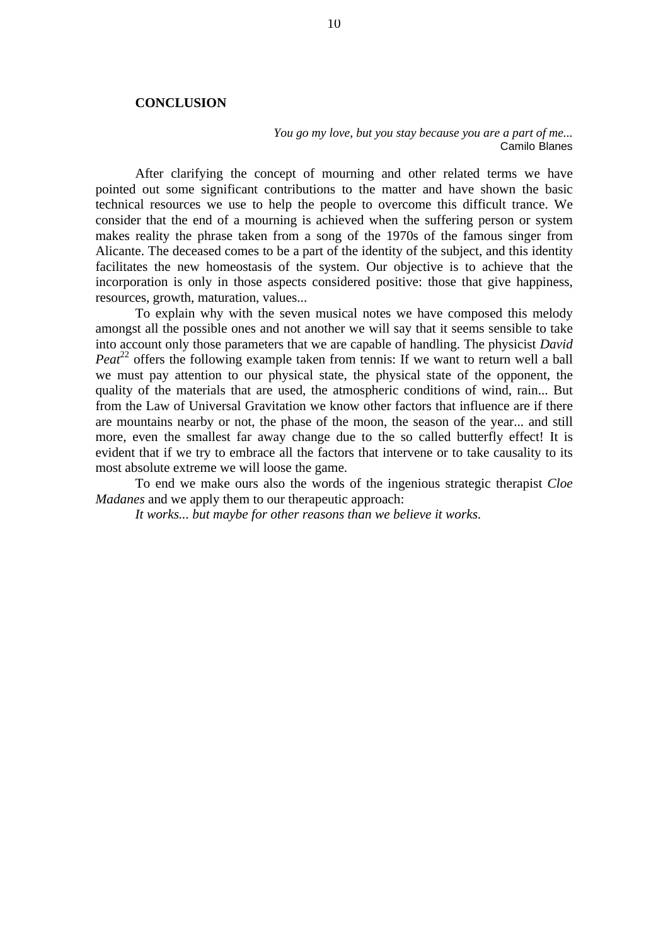#### **CONCLUSION**

*You go my love, but you stay because you are a part of me...* Camilo Blanes

After clarifying the concept of mourning and other related terms we have pointed out some significant contributions to the matter and have shown the basic technical resources we use to help the people to overcome this difficult trance. We consider that the end of a mourning is achieved when the suffering person or system makes reality the phrase taken from a song of the 1970s of the famous singer from Alicante. The deceased comes to be a part of the identity of the subject, and this identity facilitates the new homeostasis of the system. Our objective is to achieve that the incorporation is only in those aspects considered positive: those that give happiness, resources, growth, maturation, values...

To explain why with the seven musical notes we have composed this melody amongst all the possible ones and not another we will say that it seems sensible to take into account only those parameters that we are capable of handling. The physicist *David Peat*<sup>22</sup> offers the following example taken from tennis: If we want to return well a ball we must pay attention to our physical state, the physical state of the opponent, the quality of the materials that are used, the atmospheric conditions of wind, rain... But from the Law of Universal Gravitation we know other factors that influence are if there are mountains nearby or not, the phase of the moon, the season of the year... and still more, even the smallest far away change due to the so called butterfly effect! It is evident that if we try to embrace all the factors that intervene or to take causality to its most absolute extreme we will loose the game.

To end we make ours also the words of the ingenious strategic therapist *Cloe Madanes* and we apply them to our therapeutic approach:

*It works... but maybe for other reasons than we believe it works.*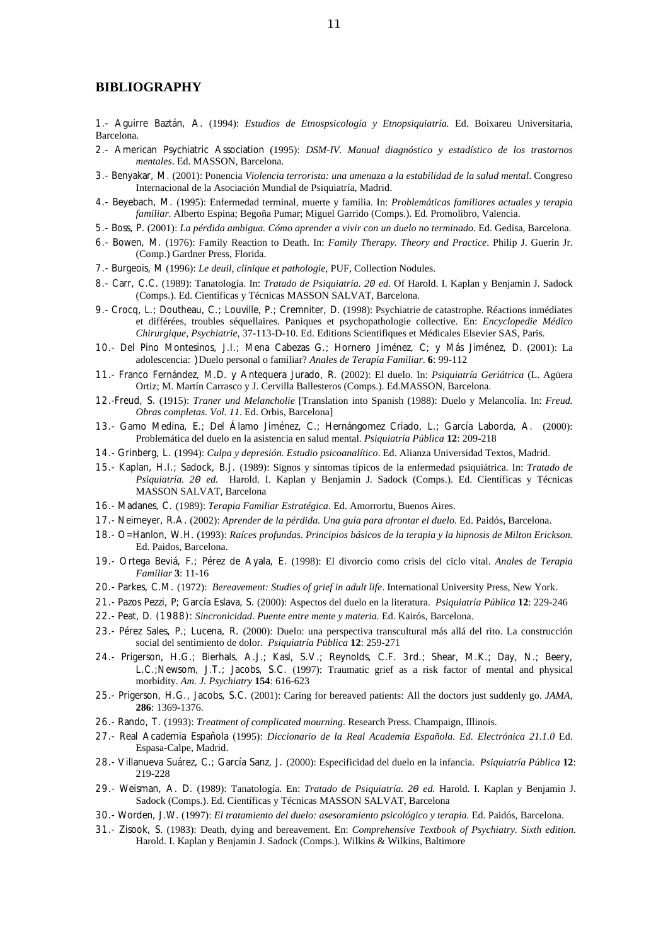#### **BIBLIOGRAPHY**

1.- Aguirre Baztán, A. (1994): *Estudios de Etnospsicología y Etnopsiquiatría.* Ed. Boixareu Universitaria, Barcelona.

- 2.- American Psychiatric Association (1995): *DSM-IV. Manual diagnóstico y estadístico de los trastornos mentales*. Ed. MASSON, Barcelona.
- 3.- Benyakar, M. (2001): Ponencia *Violencia terrorista: una amenaza a la estabilidad de la salud mental*. Congreso Internacional de la Asociación Mundial de Psiquiatría, Madrid.
- 4.- Beyebach, M. (1995): Enfermedad terminal, muerte y familia. In: *Problemáticas familiares actuales y terapia familiar*. Alberto Espina; Begoña Pumar; Miguel Garrido (Comps.). Ed. Promolibro, Valencia.
- 5.- Boss, P. (2001): *La pérdida ambigua. Cómo aprender a vivir con un duelo no terminado*. Ed. Gedisa, Barcelona.
- 6.- Bowen, M. (1976): Family Reaction to Death. In: *Family Therapy. Theory and Practice*. Philip J. Guerin Jr. (Comp.) Gardner Press, Florida.
- 7.- Burgeois, M (1996): *Le deuil, clinique et pathologie*, PUF, Collection Nodules.
- 8.- Carr, C.C. (1989): Tanatología. In: *Tratado de Psiquiatría. 20 ed.* Of Harold. I. Kaplan y Benjamin J. Sadock (Comps.). Ed. Científicas y Técnicas MASSON SALVAT, Barcelona.
- 9.- Crocq, L.; Doutheau, C.; Louville, P.; Cremniter, D. (1998): Psychiatrie de catastrophe. Réactions inmédiates et différées, troubles séquellaires. Paniques et psychopathologie collective*.* En: *Encyclopedie Médico Chirurgique, Psychiatrie*, 37-113-D-10. Ed. Editions Scientifiques et Médicales Elsevier SAS, Paris.
- 10.- Del Pino Montesinos, J.I.; Mena Cabezas G.; Hornero Jiménez, C; y Más Jiménez, D. (2001): La adolescencia: )Duelo personal o familiar? *Anales de Terapia Familiar*. **6**: 99-112
- 11.- Franco Fernández, M.D. y Antequera Jurado, R. (2002): El duelo. In: *Psiquiatría Geriátrica* (L. Agüera Ortiz; M. Martín Carrasco y J. Cervilla Ballesteros (Comps.). Ed.MASSON, Barcelona.
- 12.-Freud, S. (1915): *Traner und Melancholie* [Translation into Spanish (1988): Duelo y Melancolía. In: *Freud. Obras completas. Vol. 11*. Ed. Orbis, Barcelona]
- 13.- Gamo Medina, E.; Del Álamo Jiménez, C.; Hernángomez Criado, L.; García Laborda, A. (2000): Problemática del duelo en la asistencia en salud mental. *Psiquiatría Pública* **12**: 209-218
- 14.- Grinberg, L. (1994): *Culpa y depresión. Estudio psicoanalítico*. Ed. Alianza Universidad Textos, Madrid.
- 15.- Kaplan, H.I.; Sadock, B.J. (1989): Signos y síntomas típicos de la enfermedad psiquiátrica. In: *Tratado de Psiquiatría. 20 ed.* Harold. I. Kaplan y Benjamin J. Sadock (Comps.). Ed. Científicas y Técnicas MASSON SALVAT, Barcelona
- 16.- Madanes, C. (1989): *Terapia Familiar Estratégica*. Ed. Amorrortu, Buenos Aires.
- 17.- Neimeyer, R.A. (2002): *Aprender de la pérdida. Una guía para afrontar el duelo.* Ed. Paidós, Barcelona.
- 18.- O=Hanlon, W.H. (1993): *Raíces profundas. Principios básicos de la terapia y la hipnosis de Milton Erickson.*  Ed. Paidos, Barcelona.
- 19.- Ortega Beviá, F.; Pérez de Ayala, E. (1998): El divorcio como crisis del ciclo vital. *Anales de Terapia Familiar* **3**: 11-16
- 20.- Parkes, C.M. (1972): *Bereavement: Studies of grief in adult life*. International University Press, New York.
- 21.- Pazos Pezzi, P; García Eslava, S. (2000): Aspectos del duelo en la literatura. *Psiquiatría Pública* **12**: 229-246
- 22.- Peat, D. (1988): *Sincronicidad. Puente entre mente y materia.* Ed. Kairós, Barcelona.
- 23.- Pérez Sales, P.; Lucena, R. (2000): Duelo: una perspectiva transcultural más allá del rito. La construcción social del sentimiento de dolor. *Psiquiatría Pública* **12**: 259-271
- 24.- Prigerson, H.G.; Bierhals, A.J.; Kasl, S.V.; Reynolds, C.F. 3rd.; Shear, M.K.; Day, N.; Beery, L.C.;Newsom, J.T.; Jacobs, S.C. (1997): Traumatic grief as a risk factor of mental and physical morbidity. *Am. J. Psychiatry* **154**: 616-623
- 25.- Prigerson, H.G., Jacobs, S.C. (2001): Caring for bereaved patients: All the doctors just suddenly go. *JAMA*, **286**: 1369-1376.
- 26.- Rando, T. (1993): *Treatment of complicated mourning.* Research Press. Champaign, Illinois.
- 27.- Real Academia Española (1995): *Diccionario de la Real Academia Española. Ed. Electrónica 21.1.0* Ed. Espasa-Calpe, Madrid.
- 28.- Villanueva Suárez, C.; García Sanz, J. (2000): Especificidad del duelo en la infancia. *Psiquiatría Pública* **12**: 219-228
- 29.- Weisman, A. D. (1989): Tanatología. En: *Tratado de Psiquiatría. 20 ed.* Harold. I. Kaplan y Benjamin J. Sadock (Comps.). Ed. Científicas y Técnicas MASSON SALVAT, Barcelona
- 30.- Worden, J.W. (1997): *El tratamiento del duelo: asesoramiento psicológico y terapia.* Ed. Paidós, Barcelona.
- 31.- Zisook, S. (1983): Death, dying and bereavement. En: *Comprehensive Textbook of Psychiatry. Sixth edition.* Harold. I. Kaplan y Benjamin J. Sadock (Comps.). Wilkins & Wilkins, Baltimore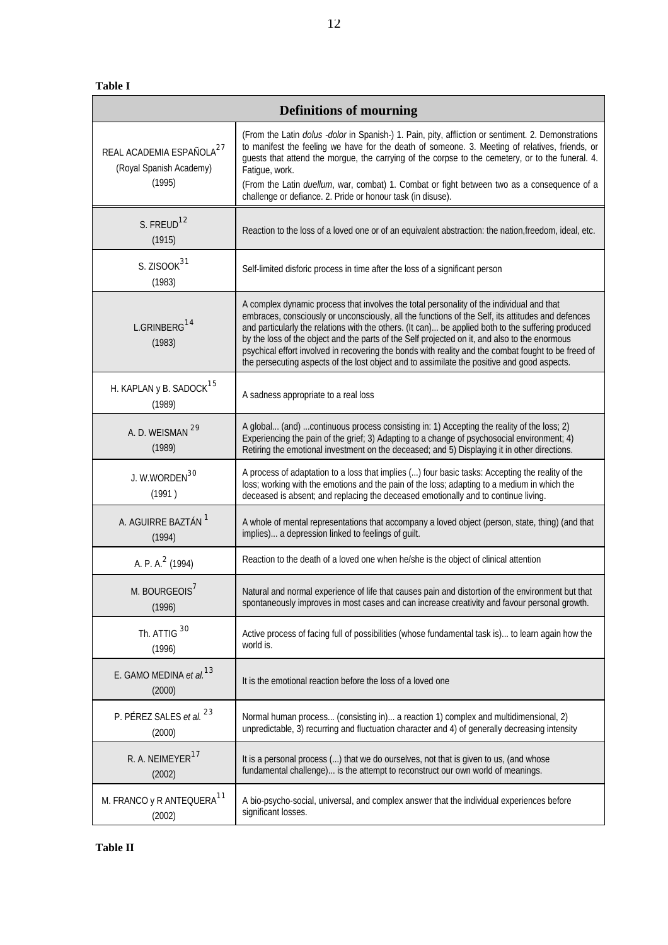**Table I**

| <b>Definitions of mourning</b>                                            |                                                                                                                                                                                                                                                                                                                                                                                                                                                                                                                                                                                                            |  |  |  |  |
|---------------------------------------------------------------------------|------------------------------------------------------------------------------------------------------------------------------------------------------------------------------------------------------------------------------------------------------------------------------------------------------------------------------------------------------------------------------------------------------------------------------------------------------------------------------------------------------------------------------------------------------------------------------------------------------------|--|--|--|--|
| REAL ACADEMIA ESPAÑOLA <sup>27</sup><br>(Royal Spanish Academy)<br>(1995) | (From the Latin dolus -dolor in Spanish-) 1. Pain, pity, affliction or sentiment. 2. Demonstrations<br>to manifest the feeling we have for the death of someone. 3. Meeting of relatives, friends, or<br>guests that attend the morgue, the carrying of the corpse to the cemetery, or to the funeral. 4.<br>Fatigue, work.<br>(From the Latin duellum, war, combat) 1. Combat or fight between two as a consequence of a<br>challenge or defiance. 2. Pride or honour task (in disuse).                                                                                                                   |  |  |  |  |
| S. FREUD <sup>12</sup><br>(1915)                                          | Reaction to the loss of a loved one or of an equivalent abstraction: the nation, freedom, ideal, etc.                                                                                                                                                                                                                                                                                                                                                                                                                                                                                                      |  |  |  |  |
| S. ZISOOK <sup>31</sup><br>(1983)                                         | Self-limited disforic process in time after the loss of a significant person                                                                                                                                                                                                                                                                                                                                                                                                                                                                                                                               |  |  |  |  |
| L.GRINBERG <sup>14</sup><br>(1983)                                        | A complex dynamic process that involves the total personality of the individual and that<br>embraces, consciously or unconsciously, all the functions of the Self, its attitudes and defences<br>and particularly the relations with the others. (It can) be applied both to the suffering produced<br>by the loss of the object and the parts of the Self projected on it, and also to the enormous<br>psychical effort involved in recovering the bonds with reality and the combat fought to be freed of<br>the persecuting aspects of the lost object and to assimilate the positive and good aspects. |  |  |  |  |
| H. KAPLAN y B. SADOCK <sup>15</sup><br>(1989)                             | A sadness appropriate to a real loss                                                                                                                                                                                                                                                                                                                                                                                                                                                                                                                                                                       |  |  |  |  |
| A. D. WEISMAN 29<br>(1989)                                                | A global (and)  continuous process consisting in: 1) Accepting the reality of the loss; 2)<br>Experiencing the pain of the grief; 3) Adapting to a change of psychosocial environment; 4)<br>Retiring the emotional investment on the deceased; and 5) Displaying it in other directions.                                                                                                                                                                                                                                                                                                                  |  |  |  |  |
| J. W.WORDEN <sup>30</sup><br>(1991)                                       | A process of adaptation to a loss that implies () four basic tasks: Accepting the reality of the<br>loss; working with the emotions and the pain of the loss; adapting to a medium in which the<br>deceased is absent; and replacing the deceased emotionally and to continue living.                                                                                                                                                                                                                                                                                                                      |  |  |  |  |
| A. AGUIRRE BAZTÁN <sup>1</sup><br>(1994)                                  | A whole of mental representations that accompany a loved object (person, state, thing) (and that<br>implies) a depression linked to feelings of guilt.                                                                                                                                                                                                                                                                                                                                                                                                                                                     |  |  |  |  |
| A. P. A. <sup>2</sup> (1994)                                              | Reaction to the death of a loved one when he/she is the object of clinical attention                                                                                                                                                                                                                                                                                                                                                                                                                                                                                                                       |  |  |  |  |
| M. BOURGEOIS <sup>7</sup><br>(1996)                                       | Natural and normal experience of life that causes pain and distortion of the environment but that<br>spontaneously improves in most cases and can increase creativity and favour personal growth.                                                                                                                                                                                                                                                                                                                                                                                                          |  |  |  |  |
| Th. ATTIG 30<br>(1996)                                                    | Active process of facing full of possibilities (whose fundamental task is) to learn again how the<br>world is.                                                                                                                                                                                                                                                                                                                                                                                                                                                                                             |  |  |  |  |
| E. GAMO MEDINA et al. <sup>13</sup><br>(2000)                             | It is the emotional reaction before the loss of a loved one                                                                                                                                                                                                                                                                                                                                                                                                                                                                                                                                                |  |  |  |  |
| P. PÉREZ SALES et al. 23<br>(2000)                                        | Normal human process (consisting in) a reaction 1) complex and multidimensional, 2)<br>unpredictable, 3) recurring and fluctuation character and 4) of generally decreasing intensity                                                                                                                                                                                                                                                                                                                                                                                                                      |  |  |  |  |
| R. A. NEIMEYER <sup>17</sup><br>(2002)                                    | It is a personal process () that we do ourselves, not that is given to us, (and whose<br>fundamental challenge) is the attempt to reconstruct our own world of meanings.                                                                                                                                                                                                                                                                                                                                                                                                                                   |  |  |  |  |
| M. FRANCO y R ANTEQUERA <sup>11</sup><br>(2002)                           | A bio-psycho-social, universal, and complex answer that the individual experiences before<br>significant losses.                                                                                                                                                                                                                                                                                                                                                                                                                                                                                           |  |  |  |  |